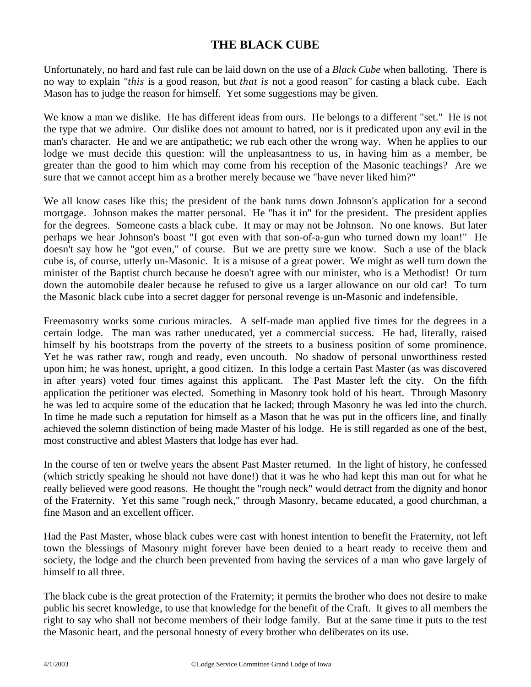## **THE BLACK CUBE**

Unfortunately, no hard and fast rule can be laid down on the use of a *Black Cube* when balloting. There is no way to explain *"this* is a good reason, but *that is* not a good reason" for casting a black cube. Each Mason has to judge the reason for himself. Yet some suggestions may be given.

We know a man we dislike. He has different ideas from ours. He belongs to a different "set." He is not the type that we admire. Our dislike does not amount to hatred, nor is it predicated upon any [evil in](http://evil.in/) the man's character. He and we are antipathetic; we rub each other the wrong way. When he applies to our lodge we must decide this question: will the unpleasantness to us, in having him as a member, be greater than the good to him which may come from his reception of the Masonic teachings? Are we sure that we cannot accept him as a brother merely because we "have never liked him?"

We all know cases like this; the president of the bank turns down Johnson's application for a second mortgage. Johnson makes the matter personal. He "has it in" for the president. The president applies for the degrees. Someone casts a black cube. It may or may not be Johnson. No one knows. But later perhaps we hear Johnson's boast "I got even with that son-of-a-gun who turned down my loan!" He doesn't say how he "got even," of course. But we are pretty sure we know. Such a use of the black cube is, of course, utterly un-Masonic. It is a misuse of a great power. We might as well turn down the minister of the Baptist church because he doesn't agree with our minister, who is a Methodist! Or turn down the automobile dealer because he refused to give us a larger allowance on our old car! To turn the Masonic black cube into a secret dagger for personal revenge is un-Masonic and indefensible.

Freemasonry works some curious miracles. A self-made man applied five times for the degrees in a certain lodge. The man was rather uneducated, yet a commercial success. He had, literally, raised himself by his bootstraps from the poverty of the streets to a business position of some prominence. Yet he was rather raw, rough and ready, even uncouth. No shadow of personal unworthiness rested upon him; he was honest, upright, a good citizen. In this lodge a certain Past Master (as was discovered in after years) voted four times against this applicant. The Past Master left the city. On the fifth application the petitioner was elected. Something in Masonry took hold of his heart. Through Masonry he was led to acquire some of the education that he lacked; through Masonry he was led into the church. In time he made such a reputation for himself as a Mason that he was put in the officers line, and finally achieved the solemn distinction of being made Master of his lodge. He is still regarded as one of the best, most constructive and ablest Masters that lodge has ever had.

In the course of ten or twelve years the absent Past Master returned. In the light of history, he confessed (which strictly speaking he should not have done!) that it was he who had kept this man out for what he really believed were good reasons. He thought the "rough neck" would detract from the dignity and honor of the Fraternity. Yet this same "rough neck," through Masonry, became educated, a good churchman, a fine Mason and an excellent officer.

Had the Past Master, whose black cubes were cast with honest intention to benefit the Fraternity, not left town the blessings of Masonry might forever have been denied to a heart ready to receive them and society, the lodge and the church been prevented from having the services of a man who gave largely of himself to all three.

The black cube is the great protection of the Fraternity; it permits the brother who does not desire to make public his secret knowledge, to use that knowledge for the benefit of the Craft. It gives to all members the right to say who shall not become members of their lodge family. But at the same time it puts to the test the Masonic heart, and the personal honesty of every brother who deliberates on its use.